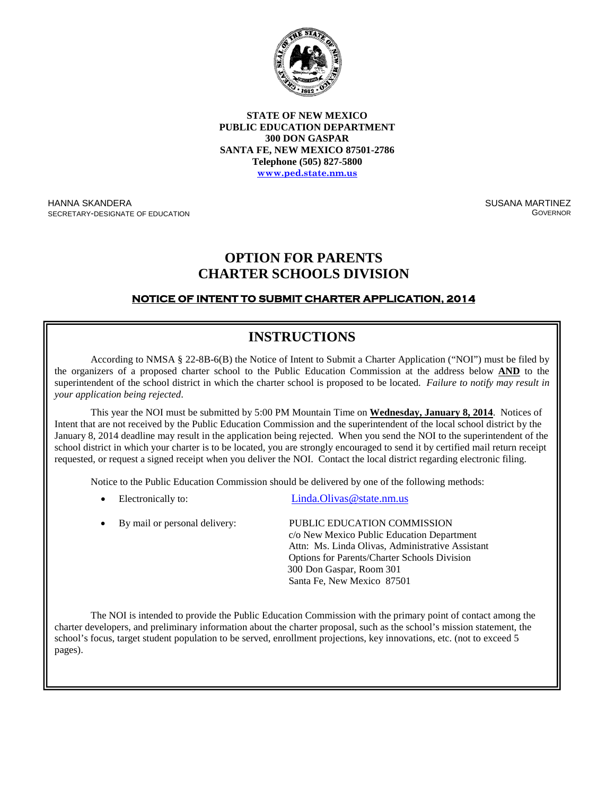

**STATE OF NEW MEXICO PUBLIC EDUCATION DEPARTMENT 300 DON GASPAR SANTA FE, NEW MEXICO 87501-2786 Telephone (505) 827-5800 [www.ped.state.nm.us](http://www.sde.state.nm.us/)**

HANNA SKANDERA SECRETARY-DESIGNATE OF EDUCATION SUSANA MARTINEZ GOVERNOR

## **OPTION FOR PARENTS CHARTER SCHOOLS DIVISION**

### **NOTICE OF INTENT TO SUBMIT CHARTER APPLICATION, 2014**

# **INSTRUCTIONS**

According to NMSA § 22-8B-6(B) the Notice of Intent to Submit a Charter Application ("NOI") must be filed by the organizers of a proposed charter school to the Public Education Commission at the address below **AND** to the superintendent of the school district in which the charter school is proposed to be located. *Failure to notify may result in your application being rejected*.

This year the NOI must be submitted by 5:00 PM Mountain Time on **Wednesday, January 8, 2014**. Notices of Intent that are not received by the Public Education Commission and the superintendent of the local school district by the January 8, 2014 deadline may result in the application being rejected. When you send the NOI to the superintendent of the school district in which your charter is to be located, you are strongly encouraged to send it by certified mail return receipt requested, or request a signed receipt when you deliver the NOI. Contact the local district regarding electronic filing.

Notice to the Public Education Commission should be delivered by one of the following methods:

- Electronically to: Linda.Olivas @state.nm.us
- By mail or personal delivery: PUBLIC EDUCATION COMMISSION c/o New Mexico Public Education Department Attn: Ms. Linda Olivas, Administrative Assistant Options for Parents/Charter Schools Division 300 Don Gaspar, Room 301 Santa Fe, New Mexico 87501

The NOI is intended to provide the Public Education Commission with the primary point of contact among the charter developers, and preliminary information about the charter proposal, such as the school's mission statement, the school's focus, target student population to be served, enrollment projections, key innovations, etc. (not to exceed 5 ges). pages).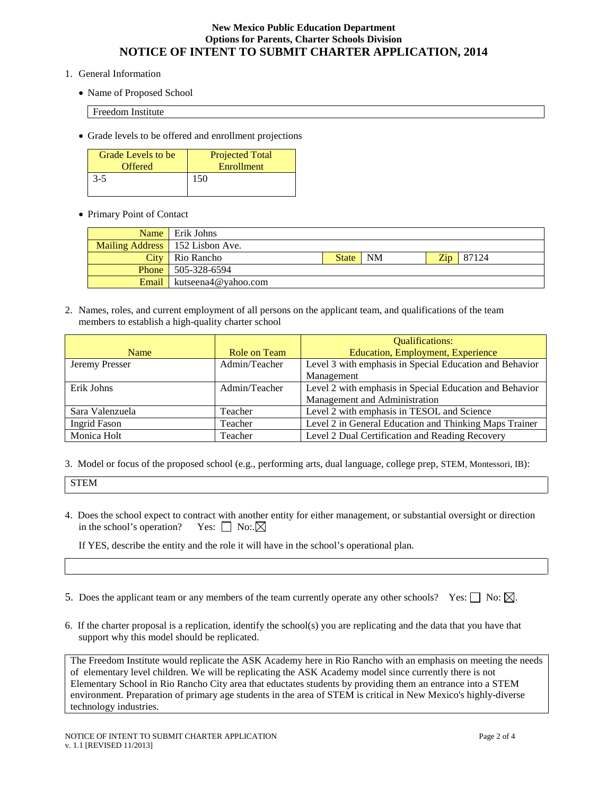#### **New Mexico Public Education Department Options for Parents, Charter Schools Division NOTICE OF INTENT TO SUBMIT CHARTER APPLICATION, 2014**

- 1. General Information
	- Name of Proposed School

Freedom Institute

• Grade levels to be offered and enrollment projections

| Grade Levels to be | <b>Projected Total</b> |
|--------------------|------------------------|
| <b>Offered</b>     | Enrollment             |
| $3-5$              | 150                    |

• Primary Point of Contact

| Name Erik Johns                    |       |                   |  |                      |
|------------------------------------|-------|-------------------|--|----------------------|
| Mailing Address   152 Lisbon Ave.  |       |                   |  |                      |
| <b>City</b> Rio Rancho             | State | $\blacksquare$ NM |  | $\mathbb{Z}ip$ 87124 |
| <b>Phone</b> 505-328-6594          |       |                   |  |                      |
| <b>Email</b>   kutseena4@yahoo.com |       |                   |  |                      |

2. Names, roles, and current employment of all persons on the applicant team, and qualifications of the team members to establish a high-quality charter school

|                 |               | <b>Qualifications:</b>                                  |
|-----------------|---------------|---------------------------------------------------------|
| Name            | Role on Team  | <b>Education, Employment, Experience</b>                |
| Jeremy Presser  | Admin/Teacher | Level 3 with emphasis in Special Education and Behavior |
|                 |               | Management                                              |
| Erik Johns      | Admin/Teacher | Level 2 with emphasis in Special Education and Behavior |
|                 |               | Management and Administration                           |
| Sara Valenzuela | Teacher       | Level 2 with emphasis in TESOL and Science              |
| Ingrid Fason    | Teacher       | Level 2 in General Education and Thinking Maps Trainer  |
| Monica Holt     | Teacher       | Level 2 Dual Certification and Reading Recovery         |

3. Model or focus of the proposed school (e.g., performing arts, dual language, college prep, STEM, Montessori, IB):

STEM

4. Does the school expect to contract with another entity for either management, or substantial oversight or direction in the school's operation? Yes:  $\Box$  No:  $\boxtimes$ 

If YES, describe the entity and the role it will have in the school's operational plan.

- 5. Does the applicant team or any members of the team currently operate any other schools? Yes:  $\Box$  No:  $\boxtimes$ .
- 6. If the charter proposal is a replication, identify the school(s) you are replicating and the data that you have that support why this model should be replicated.

The Freedom Institute would replicate the ASK Academy here in Rio Rancho with an emphasis on meeting the needs of elementary level children. We will be replicating the ASK Academy model since currently there is not Elementary School in Rio Rancho City area that eductates students by providing them an entrance into a STEM environment. Preparation of primary age students in the area of STEM is critical in New Mexico's highly-diverse technology industries.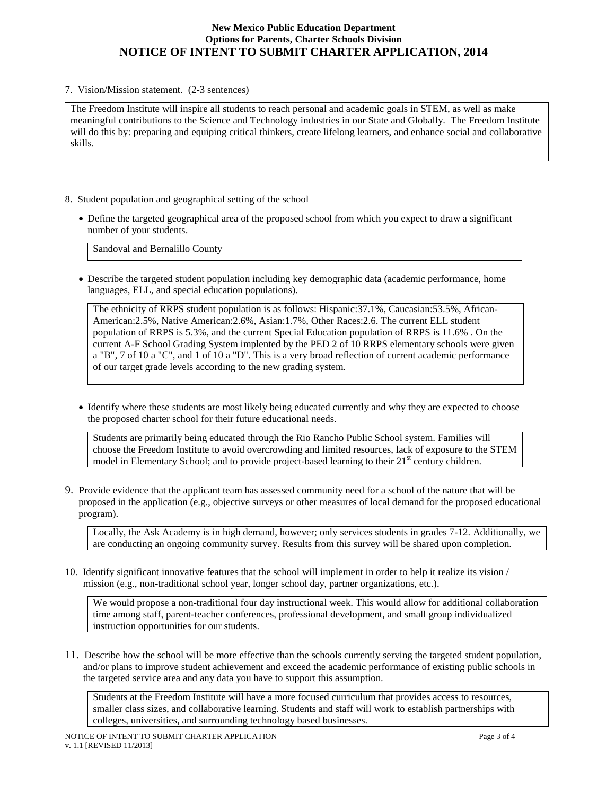#### **New Mexico Public Education Department Options for Parents, Charter Schools Division NOTICE OF INTENT TO SUBMIT CHARTER APPLICATION, 2014**

7. Vision/Mission statement. (2-3 sentences)

The Freedom Institute will inspire all students to reach personal and academic goals in STEM, as well as make meaningful contributions to the Science and Technology industries in our State and Globally. The Freedom Institute will do this by: preparing and equiping critical thinkers, create lifelong learners, and enhance social and collaborative skills.

- 8. Student population and geographical setting of the school
	- Define the targeted geographical area of the proposed school from which you expect to draw a significant number of your students.

Sandoval and Bernalillo County

• Describe the targeted student population including key demographic data (academic performance, home languages, ELL, and special education populations).

The ethnicity of RRPS student population is as follows: Hispanic:37.1%, Caucasian:53.5%, African-American:2.5%, Native American:2.6%, Asian:1.7%, Other Races:2.6. The current ELL student population of RRPS is 5.3%, and the current Special Education population of RRPS is 11.6% . On the current A-F School Grading System implented by the PED 2 of 10 RRPS elementary schools were given a "B", 7 of 10 a "C", and 1 of 10 a "D". This is a very broad reflection of current academic performance of our target grade levels according to the new grading system.

• Identify where these students are most likely being educated currently and why they are expected to choose the proposed charter school for their future educational needs.

Students are primarily being educated through the Rio Rancho Public School system. Families will choose the Freedom Institute to avoid overcrowding and limited resources, lack of exposure to the STEM model in Elementary School; and to provide project-based learning to their  $21<sup>st</sup>$  century children.

9. Provide evidence that the applicant team has assessed community need for a school of the nature that will be proposed in the application (e.g., objective surveys or other measures of local demand for the proposed educational program).

Locally, the Ask Academy is in high demand, however; only services students in grades 7-12. Additionally, we are conducting an ongoing community survey. Results from this survey will be shared upon completion.

10. Identify significant innovative features that the school will implement in order to help it realize its vision / mission (e.g., non-traditional school year, longer school day, partner organizations, etc.).

We would propose a non-traditional four day instructional week. This would allow for additional collaboration time among staff, parent-teacher conferences, professional development, and small group individualized instruction opportunities for our students.

11. Describe how the school will be more effective than the schools currently serving the targeted student population, and/or plans to improve student achievement and exceed the academic performance of existing public schools in the targeted service area and any data you have to support this assumption.

Students at the Freedom Institute will have a more focused curriculum that provides access to resources, smaller class sizes, and collaborative learning. Students and staff will work to establish partnerships with colleges, universities, and surrounding technology based businesses.